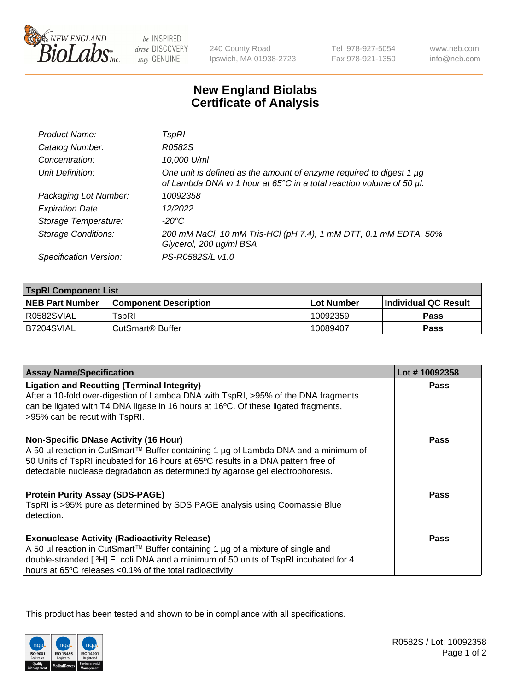

 $be$  INSPIRED drive DISCOVERY stay GENUINE

240 County Road Ipswich, MA 01938-2723 Tel 978-927-5054 Fax 978-921-1350

www.neb.com info@neb.com

## **New England Biolabs Certificate of Analysis**

| Product Name:              | TspRI                                                                                                                                            |
|----------------------------|--------------------------------------------------------------------------------------------------------------------------------------------------|
| Catalog Number:            | R0582S                                                                                                                                           |
| Concentration:             | 10,000 U/ml                                                                                                                                      |
| Unit Definition:           | One unit is defined as the amount of enzyme required to digest 1 $\mu$ g<br>of Lambda DNA in 1 hour at 65°C in a total reaction volume of 50 µl. |
| Packaging Lot Number:      | 10092358                                                                                                                                         |
| <b>Expiration Date:</b>    | 12/2022                                                                                                                                          |
| Storage Temperature:       | $-20^{\circ}$ C                                                                                                                                  |
| <b>Storage Conditions:</b> | 200 mM NaCl, 10 mM Tris-HCl (pH 7.4), 1 mM DTT, 0.1 mM EDTA, 50%<br>Glycerol, 200 µg/ml BSA                                                      |
| Specification Version:     | PS-R0582S/L v1.0                                                                                                                                 |

| <b>TspRI Component List</b> |                                                                    |             |                             |  |
|-----------------------------|--------------------------------------------------------------------|-------------|-----------------------------|--|
| <b>NEB Part Number</b>      | <b>Component Description</b>                                       | ⊺Lot Number | <b>Individual QC Result</b> |  |
| R0582SVIAL                  | $\mathsf{^{\mathsf{T}}\mathsf{s}\mathsf{o}\mathsf{R}\mathsf{l}}$ . | 10092359    | Pass                        |  |
| B7204SVIAL                  | i CutSmart® Buffer_                                                | 10089407    | Pass                        |  |

| <b>Assay Name/Specification</b>                                                                                                                                                                                                                                                                           | Lot #10092358 |
|-----------------------------------------------------------------------------------------------------------------------------------------------------------------------------------------------------------------------------------------------------------------------------------------------------------|---------------|
| <b>Ligation and Recutting (Terminal Integrity)</b><br>After a 10-fold over-digestion of Lambda DNA with TspRI, >95% of the DNA fragments<br>can be ligated with T4 DNA ligase in 16 hours at 16°C. Of these ligated fragments,<br>>95% can be recut with TspRI.                                           | Pass          |
| <b>Non-Specific DNase Activity (16 Hour)</b><br>A 50 µl reaction in CutSmart™ Buffer containing 1 µg of Lambda DNA and a minimum of<br>50 Units of TspRI incubated for 16 hours at 65°C results in a DNA pattern free of<br>detectable nuclease degradation as determined by agarose gel electrophoresis. | Pass          |
| <b>Protein Purity Assay (SDS-PAGE)</b><br>TspRI is >95% pure as determined by SDS PAGE analysis using Coomassie Blue<br>detection.                                                                                                                                                                        | <b>Pass</b>   |
| <b>Exonuclease Activity (Radioactivity Release)</b><br>A 50 µl reaction in CutSmart™ Buffer containing 1 µg of a mixture of single and<br>double-stranded [3H] E. coli DNA and a minimum of 50 units of TspRI incubated for 4<br>hours at 65°C releases <0.1% of the total radioactivity.                 | Pass          |

This product has been tested and shown to be in compliance with all specifications.